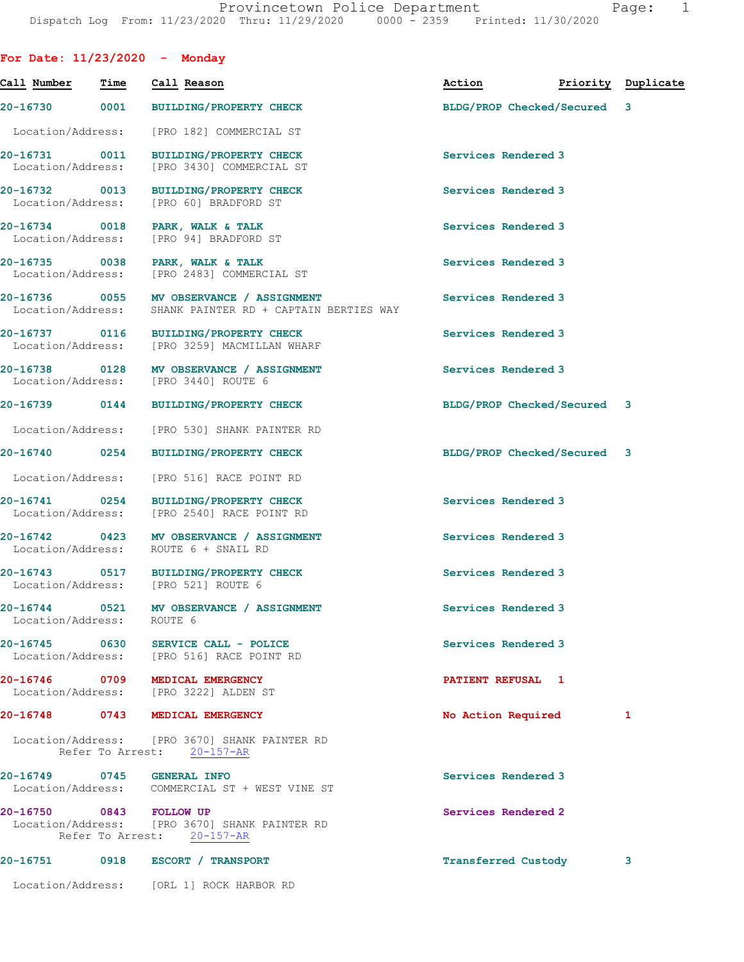| For Date: $11/23/2020 -$ Monday      |                |                     |                                                                                                      |                     |                                  |   |
|--------------------------------------|----------------|---------------------|------------------------------------------------------------------------------------------------------|---------------------|----------------------------------|---|
| Call Number                          | Time           |                     | Call Reason                                                                                          |                     | Action <b>Priority</b> Duplicate |   |
| 20-16730                             | 0001           |                     | BUILDING/PROPERTY CHECK                                                                              |                     | BLDG/PROP Checked/Secured 3      |   |
| Location/Address:                    |                |                     | [PRO 182] COMMERCIAL ST                                                                              |                     |                                  |   |
| 20-16731 0011                        |                |                     | BUILDING/PROPERTY CHECK<br>Location/Address: [PRO 3430] COMMERCIAL ST                                | Services Rendered 3 |                                  |   |
| 20-16732 0013                        |                |                     | <b>BUILDING/PROPERTY CHECK</b><br>Location/Address: [PRO 60] BRADFORD ST                             | Services Rendered 3 |                                  |   |
| 20-16734 0018<br>Location/Address:   |                |                     | PARK, WALK & TALK<br>[PRO 94] BRADFORD ST                                                            | Services Rendered 3 |                                  |   |
| 20-16735 0038<br>Location/Address:   |                |                     | PARK, WALK & TALK<br>[PRO 2483] COMMERCIAL ST                                                        | Services Rendered 3 |                                  |   |
|                                      |                |                     | 20-16736 0055 MV OBSERVANCE / ASSIGNMENT<br>Location/Address: SHANK PAINTER RD + CAPTAIN BERTIES WAY | Services Rendered 3 |                                  |   |
| 20-16737 0116                        |                |                     | BUILDING/PROPERTY CHECK<br>Location/Address: [PRO 3259] MACMILLAN WHARF                              | Services Rendered 3 |                                  |   |
| Location/Address: [PRO 3440] ROUTE 6 |                |                     | 20-16738 0128 MV OBSERVANCE / ASSIGNMENT                                                             | Services Rendered 3 |                                  |   |
| 20-16739 0144                        |                |                     | <b>BUILDING/PROPERTY CHECK</b>                                                                       |                     | BLDG/PROP Checked/Secured 3      |   |
|                                      |                |                     | Location/Address: [PRO 530] SHANK PAINTER RD                                                         |                     |                                  |   |
| 20-16740 0254                        |                |                     | BUILDING/PROPERTY CHECK                                                                              |                     | BLDG/PROP Checked/Secured 3      |   |
| Location/Address:                    |                |                     | [PRO 516] RACE POINT RD                                                                              |                     |                                  |   |
| 20-16741 0254                        |                |                     | BUILDING/PROPERTY CHECK<br>Location/Address: [PRO 2540] RACE POINT RD                                | Services Rendered 3 |                                  |   |
| 20-16742 0423<br>Location/Address:   |                |                     | MV OBSERVANCE / ASSIGNMENT<br>ROUTE 6 + SNAIL RD                                                     | Services Rendered 3 |                                  |   |
| Location/Address: [PRO 521] ROUTE 6  |                |                     | 20-16743 0517 BUILDING/PROPERTY CHECK                                                                | Services Rendered 3 |                                  |   |
| Location/Address:                    |                | ROUTE 6             | 20-16744 0521 MV OBSERVANCE / ASSIGNMENT                                                             | Services Rendered 3 |                                  |   |
| 20-16745 0630                        |                |                     | <b>SERVICE CALL - POLICE</b><br>Location/Address: [PRO 516] RACE POINT RD                            | Services Rendered 3 |                                  |   |
| 20-16746                             | 0709           |                     | MEDICAL EMERGENCY<br>Location/Address: [PRO 3222] ALDEN ST                                           | PATIENT REFUSAL 1   |                                  |   |
| 20-16748                             | 0743           |                     | <b>MEDICAL EMERGENCY</b>                                                                             | No Action Required  |                                  | 1 |
|                                      |                |                     | Location/Address: [PRO 3670] SHANK PAINTER RD<br>Refer To Arrest: 20-157-AR                          |                     |                                  |   |
| 20-16749                             | 0745           | <b>GENERAL INFO</b> | Location/Address: COMMERCIAL ST + WEST VINE ST                                                       | Services Rendered 3 |                                  |   |
| 20-16750                             | 0843 FOLLOW UP |                     | Location/Address: [PRO 3670] SHANK PAINTER RD<br>Refer To Arrest: 20-157-AR                          | Services Rendered 2 |                                  |   |
| 20-16751                             | 0918           |                     | <b>ESCORT / TRANSPORT</b>                                                                            | Transferred Custody |                                  | 3 |
|                                      |                |                     | Location/Address: [ORL 1] ROCK HARBOR RD                                                             |                     |                                  |   |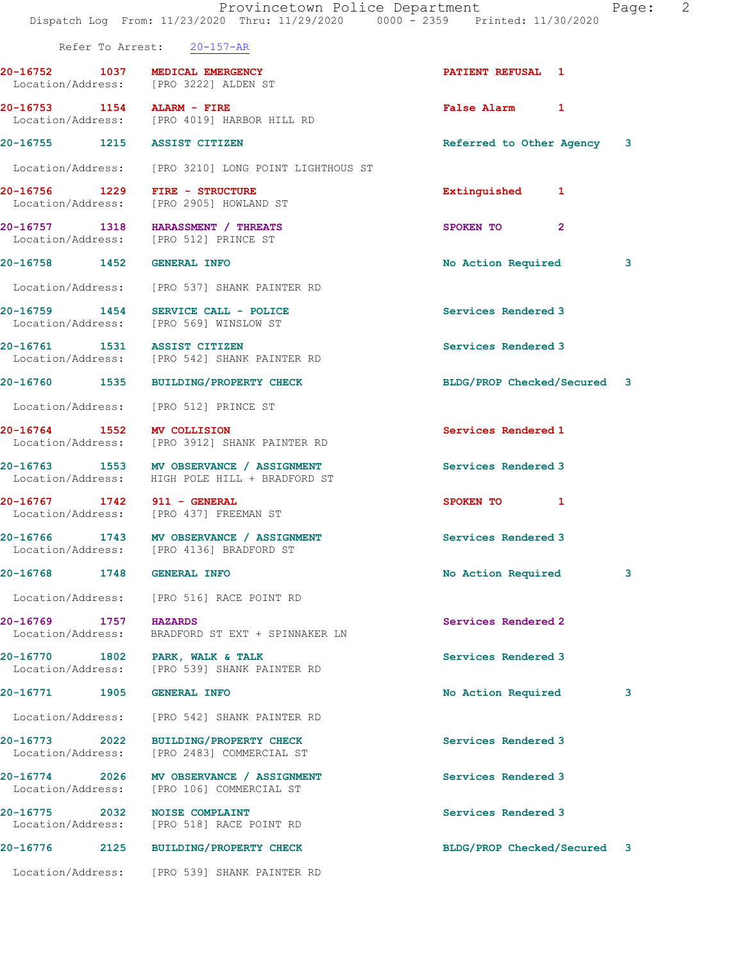|                                            | Provincetown Police Department<br>Dispatch Log From: 11/23/2020 Thru: 11/29/2020 0000 - 2359 Printed: 11/30/2020 | Page:                         | 2 |
|--------------------------------------------|------------------------------------------------------------------------------------------------------------------|-------------------------------|---|
|                                            | Refer To Arrest: 20-157-AR                                                                                       |                               |   |
| 20-16752 1037 MEDICAL EMERGENCY            | Location/Address: [PRO 3222] ALDEN ST                                                                            | PATIENT REFUSAL 1             |   |
| 20-16753 1154 ALARM - FIRE                 | Location/Address: [PRO 4019] HARBOR HILL RD                                                                      | False Alarm 1                 |   |
| 20-16755 1215 ASSIST CITIZEN               |                                                                                                                  | 3<br>Referred to Other Agency |   |
|                                            | Location/Address: [PRO 3210] LONG POINT LIGHTHOUS ST                                                             |                               |   |
|                                            | Location/Address: [PRO 2905] HOWLAND ST                                                                          | Extinguished 1                |   |
|                                            | 20-16757 1318 HARASSMENT / THREATS<br>Location/Address: [PRO 512] PRINCE ST                                      | $\overline{2}$<br>SPOKEN TO   |   |
| 20-16758 1452 GENERAL INFO                 |                                                                                                                  | 3<br>No Action Required       |   |
|                                            | Location/Address: [PRO 537] SHANK PAINTER RD                                                                     |                               |   |
|                                            | 20-16759 1454 SERVICE CALL - POLICE<br>Location/Address: [PRO 569] WINSLOW ST                                    | Services Rendered 3           |   |
|                                            | 20-16761 1531 ASSIST CITIZEN<br>Location/Address: [PRO 542] SHANK PAINTER RD                                     | Services Rendered 3           |   |
|                                            | 20-16760 1535 BUILDING/PROPERTY CHECK                                                                            | BLDG/PROP Checked/Secured 3   |   |
|                                            | Location/Address: [PRO 512] PRINCE ST                                                                            |                               |   |
| 20-16764 1552 MV COLLISION                 | Location/Address: [PRO 3912] SHANK PAINTER RD                                                                    | Services Rendered 1           |   |
|                                            | 20-16763 1553 MV OBSERVANCE / ASSIGNMENT<br>Location/Address: HIGH POLE HILL + BRADFORD ST                       | Services Rendered 3           |   |
| 20-16767 1742 911 - GENERAL                | Location/Address: [PRO 437] FREEMAN ST                                                                           | SPOKEN TO 1                   |   |
|                                            | 20-16766 1743 MV OBSERVANCE / ASSIGNMENT<br>Location/Address: [PRO 4136] BRADFORD ST                             | Services Rendered 3           |   |
| 20-16768 1748 GENERAL INFO                 |                                                                                                                  | No Action Required<br>3       |   |
|                                            | Location/Address: [PRO 516] RACE POINT RD                                                                        |                               |   |
| 20-16769 1757 HAZARDS<br>Location/Address: | BRADFORD ST EXT + SPINNAKER LN                                                                                   | Services Rendered 2           |   |
|                                            | 20-16770 1802 PARK, WALK & TALK<br>Location/Address: [PRO 539] SHANK PAINTER RD                                  | Services Rendered 3           |   |
| 20-16771 1905 GENERAL INFO                 |                                                                                                                  | No Action Required<br>3       |   |
|                                            | Location/Address: [PRO 542] SHANK PAINTER RD                                                                     |                               |   |
|                                            | 20-16773 2022 BUILDING/PROPERTY CHECK                                                                            | Services Rendered 3           |   |

20-16774 2026 MV OBSERVANCE / ASSIGNMENT Services Rendered 3

Location/Address: [PRO 2483] COMMERCIAL ST

Location/Address: [PRO 106] COMMERCIAL ST

20-16775 2032 NOISE COMPLAINT **Services Rendered 3** Location/Address: [PRO 518] RACE POINT RD

20-16776 2125 BUILDING/PROPERTY CHECK BLDG/PROP Checked/Secured 3

Location/Address: [PRO 539] SHANK PAINTER RD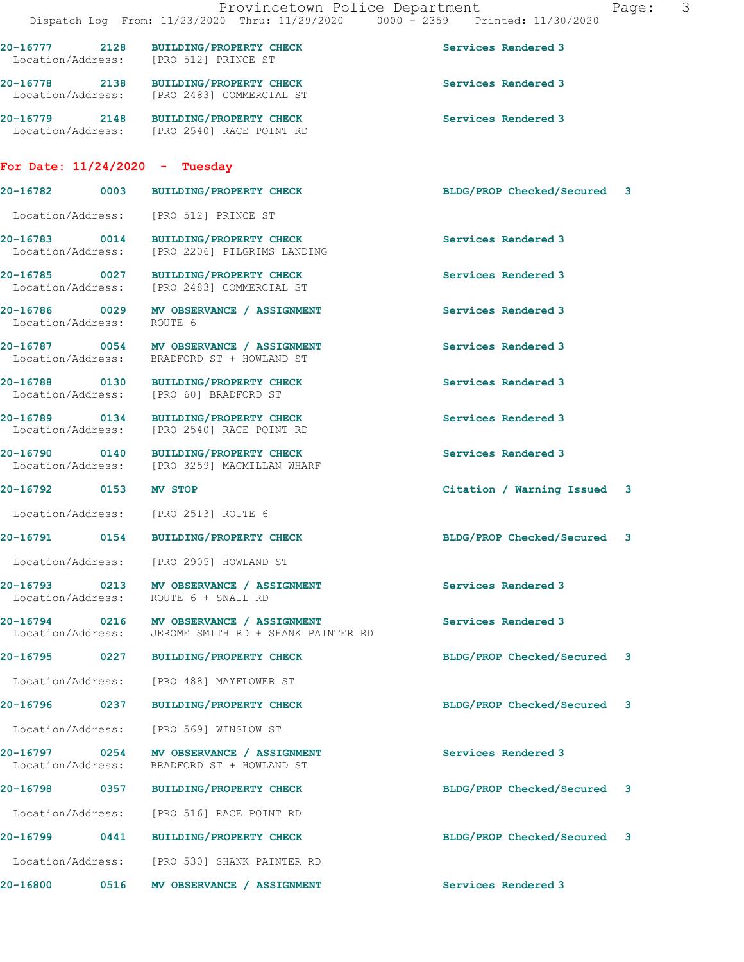|                                  | Provincetown Police Department                                                                   |                             | $\mathcal{S}$<br>Page: |
|----------------------------------|--------------------------------------------------------------------------------------------------|-----------------------------|------------------------|
|                                  | Dispatch Log From: 11/23/2020 Thru: 11/29/2020 0000 - 2359 Printed: 11/30/2020                   |                             |                        |
|                                  | 20-16777 2128 BUILDING/PROPERTY CHECK<br>Location/Address: [PRO 512] PRINCE ST                   | Services Rendered 3         |                        |
|                                  | 20-16778 2138 BUILDING/PROPERTY CHECK<br>Location/Address: [PRO 2483] COMMERCIAL ST              | Services Rendered 3         |                        |
|                                  | 20-16779 2148 BUILDING/PROPERTY CHECK<br>Location/Address: [PRO 2540] RACE POINT RD              | Services Rendered 3         |                        |
| For Date: $11/24/2020 -$ Tuesday |                                                                                                  |                             |                        |
|                                  | 20-16782 0003 BUILDING/PROPERTY CHECK                                                            | BLDG/PROP Checked/Secured 3 |                        |
|                                  | Location/Address: [PRO 512] PRINCE ST                                                            |                             |                        |
|                                  | 20-16783 0014 BUILDING/PROPERTY CHECK<br>Location/Address: [PRO 2206] PILGRIMS LANDING           | Services Rendered 3         |                        |
|                                  | 20-16785 0027 BUILDING/PROPERTY CHECK<br>Location/Address: [PRO 2483] COMMERCIAL ST              | Services Rendered 3         |                        |
| Location/Address:                | 20-16786 0029 MV OBSERVANCE / ASSIGNMENT<br>ROUTE 6                                              | Services Rendered 3         |                        |
|                                  | 20-16787 0054 MV OBSERVANCE / ASSIGNMENT<br>Location/Address: BRADFORD ST + HOWLAND ST           | Services Rendered 3         |                        |
|                                  | 20-16788 0130 BUILDING/PROPERTY CHECK<br>Location/Address: [PRO 60] BRADFORD ST                  | Services Rendered 3         |                        |
|                                  | 20-16789 0134 BUILDING/PROPERTY CHECK<br>Location/Address: [PRO 2540] RACE POINT RD              | Services Rendered 3         |                        |
|                                  | 20-16790 0140 BUILDING/PROPERTY CHECK<br>Location/Address: [PRO 3259] MACMILLAN WHARF            | Services Rendered 3         |                        |
| 20-16792 0153 MV STOP            |                                                                                                  | Citation / Warning Issued 3 |                        |
|                                  | Location/Address: [PRO 2513] ROUTE 6                                                             |                             |                        |
|                                  | 20-16791 0154 BUILDING/PROPERTY CHECK                                                            | BLDG/PROP Checked/Secured 3 |                        |
|                                  | Location/Address: [PRO 2905] HOWLAND ST                                                          |                             |                        |
|                                  | 20-16793 0213 MV OBSERVANCE / ASSIGNMENT<br>Location/Address: ROUTE 6 + SNAIL RD                 | Services Rendered 3         |                        |
|                                  | 20-16794 0216 MV OBSERVANCE / ASSIGNMENT<br>Location/Address: JEROME SMITH RD + SHANK PAINTER RD | Services Rendered 3         |                        |
|                                  | 20-16795 0227 BUILDING/PROPERTY CHECK                                                            | BLDG/PROP Checked/Secured 3 |                        |
|                                  | Location/Address: [PRO 488] MAYFLOWER ST                                                         |                             |                        |
|                                  | 20-16796 0237 BUILDING/PROPERTY CHECK                                                            | BLDG/PROP Checked/Secured 3 |                        |
|                                  | Location/Address: [PRO 569] WINSLOW ST                                                           |                             |                        |
|                                  | 20-16797 0254 MV OBSERVANCE / ASSIGNMENT<br>Location/Address: BRADFORD ST + HOWLAND ST           | Services Rendered 3         |                        |
|                                  | 20-16798 0357 BUILDING/PROPERTY CHECK                                                            | BLDG/PROP Checked/Secured 3 |                        |
|                                  | Location/Address: [PRO 516] RACE POINT RD                                                        |                             |                        |
|                                  | 20-16799 0441 BUILDING/PROPERTY CHECK                                                            | BLDG/PROP Checked/Secured 3 |                        |
|                                  | Location/Address: [PRO 530] SHANK PAINTER RD                                                     |                             |                        |
|                                  | 20-16800 0516 MV OBSERVANCE / ASSIGNMENT                                                         | Services Rendered 3         |                        |
|                                  |                                                                                                  |                             |                        |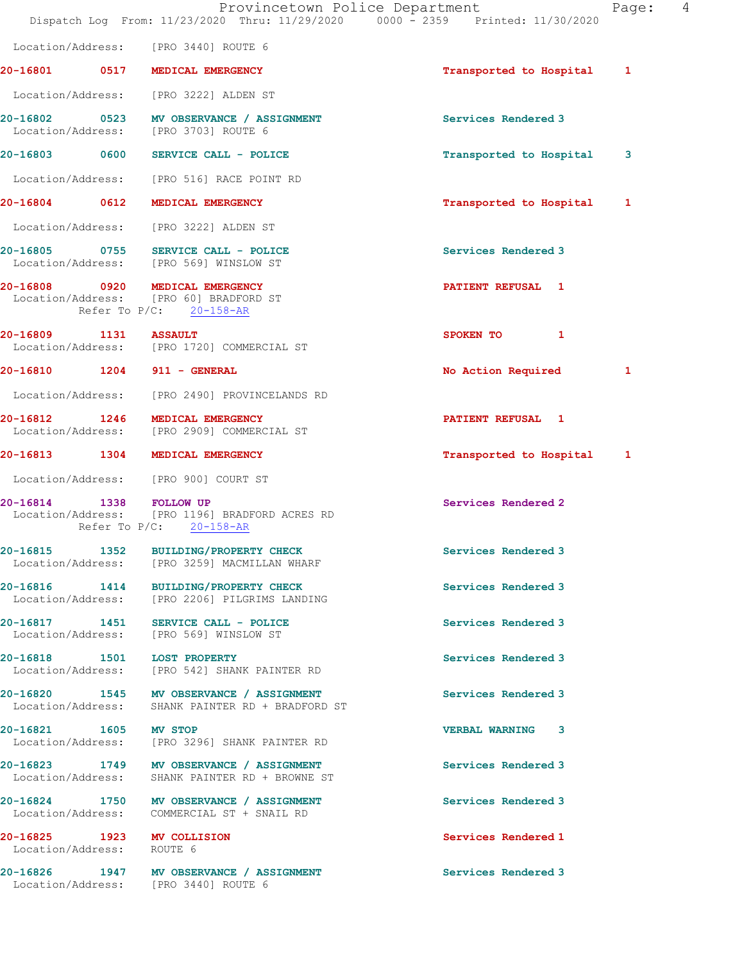|                           | Dispatch Log From: 11/23/2020 Thru: 11/29/2020 0000 - 2359 Printed: 11/30/2020                          | Provincetown Police Department | Page: | 4 |
|---------------------------|---------------------------------------------------------------------------------------------------------|--------------------------------|-------|---|
|                           | Location/Address: [PRO 3440] ROUTE 6                                                                    |                                |       |   |
|                           | 20-16801 0517 MEDICAL EMERGENCY                                                                         | Transported to Hospital 1      |       |   |
|                           | Location/Address: [PRO 3222] ALDEN ST                                                                   |                                |       |   |
|                           | 20-16802 0523 MV OBSERVANCE / ASSIGNMENT<br>Location/Address: [PRO 3703] ROUTE 6                        | Services Rendered 3            |       |   |
|                           | 20-16803 0600 SERVICE CALL - POLICE                                                                     | Transported to Hospital        | 3     |   |
|                           | Location/Address: [PRO 516] RACE POINT RD                                                               |                                |       |   |
|                           | 20-16804 0612 MEDICAL EMERGENCY                                                                         | Transported to Hospital        | 1     |   |
|                           | Location/Address: [PRO 3222] ALDEN ST                                                                   |                                |       |   |
|                           | 20-16805 0755 SERVICE CALL - POLICE<br>Location/Address: [PRO 569] WINSLOW ST                           | Services Rendered 3            |       |   |
|                           | 20-16808 0920 MEDICAL EMERGENCY<br>Location/Address: [PRO 60] BRADFORD ST<br>Refer To $P/C$ : 20-158-AR | PATIENT REFUSAL 1              |       |   |
| 20-16809 1131 ASSAULT     | Location/Address: [PRO 1720] COMMERCIAL ST                                                              | SPOKEN TO<br>$\blacksquare$    |       |   |
|                           | 20-16810 1204 911 - GENERAL                                                                             | No Action Required             | 1     |   |
|                           | Location/Address: [PRO 2490] PROVINCELANDS RD                                                           |                                |       |   |
| 20-16812 1246             | MEDICAL EMERGENCY<br>Location/Address: [PRO 2909] COMMERCIAL ST                                         | PATIENT REFUSAL 1              |       |   |
|                           | 20-16813 1304 MEDICAL EMERGENCY                                                                         | Transported to Hospital 1      |       |   |
|                           | Location/Address: [PRO 900] COURT ST                                                                    |                                |       |   |
| 20-16814 1338 FOLLOW UP   | Location/Address: [PRO 1196] BRADFORD ACRES RD<br>Refer To $P/C$ : 20-158-AR                            | Services Rendered 2            |       |   |
| 20-16815 1352             | <b>BUILDING/PROPERTY CHECK</b><br>Location/Address: [PRO 3259] MACMILLAN WHARF                          | Services Rendered 3            |       |   |
|                           | 20-16816 1414 BUILDING/PROPERTY CHECK<br>Location/Address: [PRO 2206] PILGRIMS LANDING                  | Services Rendered 3            |       |   |
|                           | 20-16817 1451 SERVICE CALL - POLICE<br>Location/Address: [PRO 569] WINSLOW ST                           | Services Rendered 3            |       |   |
|                           | 20-16818 1501 LOST PROPERTY<br>Location/Address: [PRO 542] SHANK PAINTER RD                             | Services Rendered 3            |       |   |
|                           | 20-16820 1545 MV OBSERVANCE / ASSIGNMENT<br>Location/Address: SHANK PAINTER RD + BRADFORD ST            | Services Rendered 3            |       |   |
| 20-16821 1605 MV STOP     | Location/Address: [PRO 3296] SHANK PAINTER RD                                                           | <b>VERBAL WARNING 3</b>        |       |   |
|                           | 20-16823 1749 MV OBSERVANCE / ASSIGNMENT<br>Location/Address: SHANK PAINTER RD + BROWNE ST              | Services Rendered 3            |       |   |
| Location/Address:         | 20-16824 1750 MV OBSERVANCE / ASSIGNMENT<br>COMMERCIAL ST + SNAIL RD                                    | Services Rendered 3            |       |   |
| Location/Address: ROUTE 6 | 20-16825 1923 MV COLLISION                                                                              | Services Rendered 1            |       |   |
|                           | 20-16826 1947 MV OBSERVANCE / ASSIGNMENT<br>Location/Address: [PRO 3440] ROUTE 6                        | Services Rendered 3            |       |   |
|                           |                                                                                                         |                                |       |   |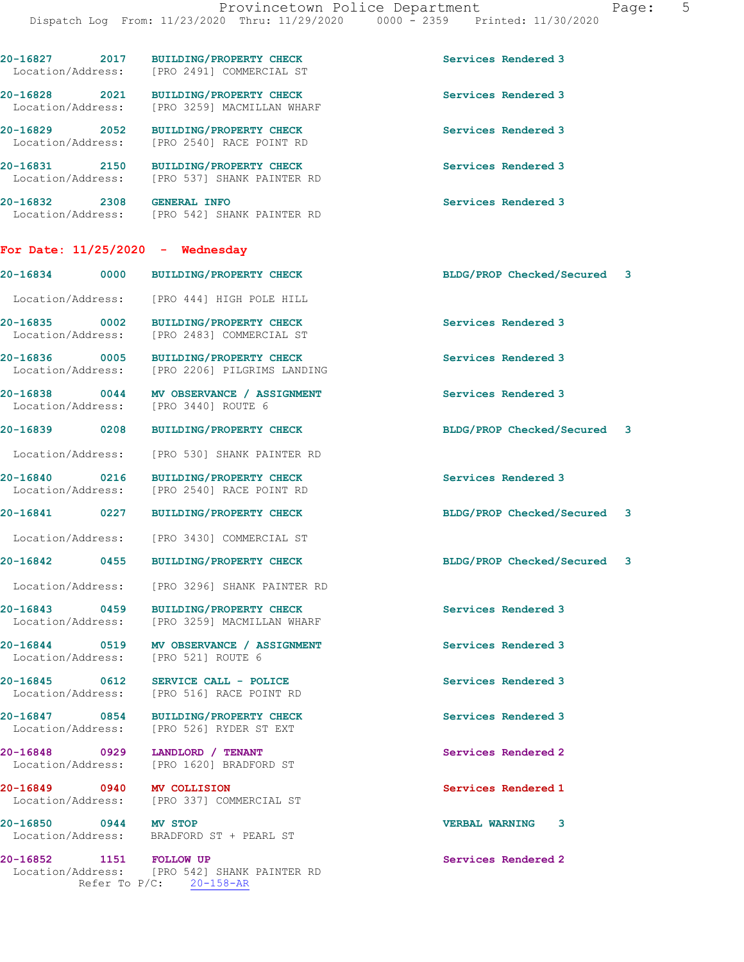| 20-16827 2017<br>Location/Address: | BUILDING/PROPERTY CHECK<br>[PRO 2491] COMMERCIAL ST                                   | Services Rendered 3            |
|------------------------------------|---------------------------------------------------------------------------------------|--------------------------------|
| 20-16828 2021<br>Location/Address: | <b>BUILDING/PROPERTY CHECK</b><br>[PRO 3259] MACMILLAN WHARF                          | Services Rendered 3            |
| 20-16829 2052<br>Location/Address: | <b>BUILDING/PROPERTY CHECK</b><br>[PRO 2540] RACE POINT RD                            | Services Rendered 3            |
| 20-16831 2150<br>Location/Address: | <b>BUILDING/PROPERTY CHECK</b><br>[PRO 537] SHANK PAINTER RD                          | Services Rendered 3            |
| 20-16832 2308 GENERAL INFO         | Location/Address: [PRO 542] SHANK PAINTER RD                                          | Services Rendered 3            |
| For Date: $11/25/2020$ - Wednesday |                                                                                       |                                |
| 20-16834<br>0000                   | BUILDING/PROPERTY CHECK                                                               | BLDG/PROP Checked/Secured 3    |
|                                    | Location/Address: [PRO 444] HIGH POLE HILL                                            |                                |
| 20-16835 0002<br>Location/Address: | BUILDING/PROPERTY CHECK<br>[PRO 2483] COMMERCIAL ST                                   | Services Rendered 3            |
| 20-16836 0005                      | <b>BUILDING/PROPERTY CHECK</b><br>Location/Address: [PRO 2206] PILGRIMS LANDING       | Services Rendered 3            |
| Location/Address:                  | 20-16838 0044 MV OBSERVANCE / ASSIGNMENT<br>[PRO 3440] ROUTE 6                        | Services Rendered 3            |
| 20-16839 0208                      | <b>BUILDING/PROPERTY CHECK</b>                                                        | BLDG/PROP Checked/Secured 3    |
| Location/Address:                  | [PRO 530] SHANK PAINTER RD                                                            |                                |
| 20-16840 0216<br>Location/Address: | <b>BUILDING/PROPERTY CHECK</b><br>[PRO 2540] RACE POINT RD                            | Services Rendered 3            |
| 20-16841 0227                      | <b>BUILDING/PROPERTY CHECK</b>                                                        | BLDG/PROP Checked/Secured 3    |
|                                    | Location/Address: [PRO 3430] COMMERCIAL ST                                            |                                |
|                                    | 20-16842 0455 BUILDING/PROPERTY CHECK                                                 | BLDG/PROP Checked/Secured<br>3 |
|                                    | Location/Address: [PRO 3296] SHANK PAINTER RD                                         |                                |
|                                    | 20-16843 0459 BUILDING/PROPERTY CHECK<br>Location/Address: [PRO 3259] MACMILLAN WHARF | Services Rendered 3            |
|                                    | 20-16844 0519 MV OBSERVANCE / ASSIGNMENT<br>Location/Address: [PRO 521] ROUTE 6       | Services Rendered 3            |
|                                    | Location/Address: [PRO 516] RACE POINT RD                                             | Services Rendered 3            |
|                                    | 20-16847 0854 BUILDING/PROPERTY CHECK<br>Location/Address: [PRO 526] RYDER ST EXT     | Services Rendered 3            |
| 20-16848 0929 LANDLORD / TENANT    | Location/Address: [PRO 1620] BRADFORD ST                                              | Services Rendered 2            |
| 20-16849 0940 MV COLLISION         | Location/Address: [PRO 337] COMMERCIAL ST                                             | Services Rendered 1            |
| 20-16850 0944 MV STOP              | Location/Address: BRADFORD ST + PEARL ST                                              | <b>VERBAL WARNING 3</b>        |
| 20-16852 1151 FOLLOW UP            | Location/Address: [PRO 542] SHANK PAINTER RD<br>Refer To $P/C$ : 20-158-AR            | Services Rendered 2            |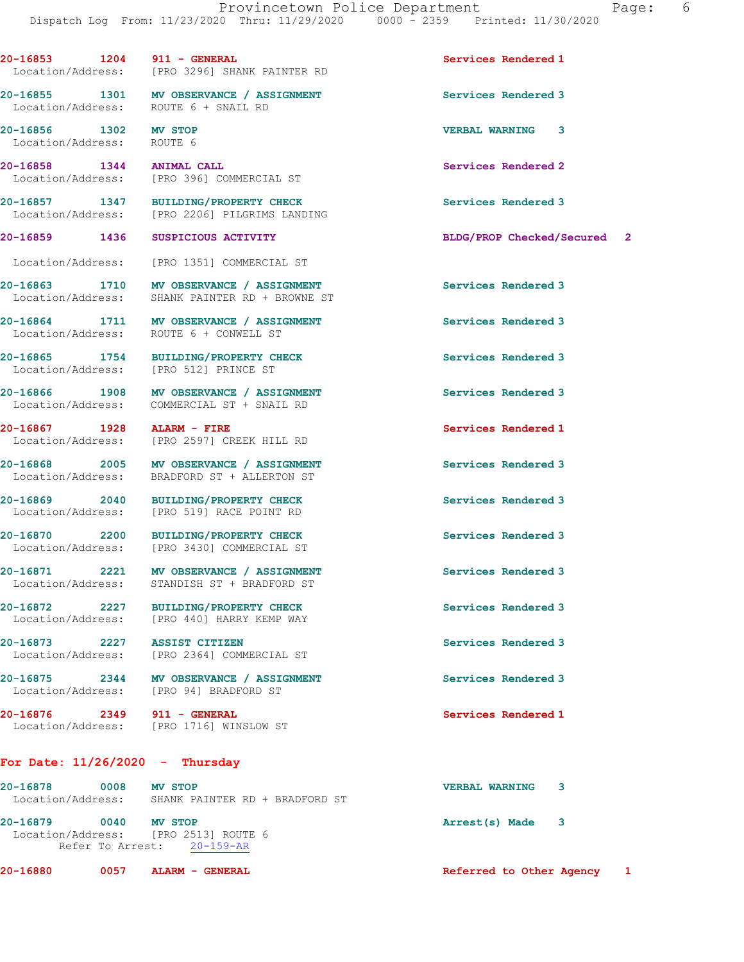20-16853 1204 911 - GENERAL Services Rendered 1 Location/Address: [PRO 3296] SHANK PAINTER RD

20-16855 1301 MV OBSERVANCE / ASSIGNMENT Services Rendered 3 Location/Address: ROUTE 6 + SNAIL RD

20-16856 1302 MV STOP VERBAL WARNING 3 Location/Address: ROUTE 6

20-16858 1344 ANIMAL CALL Services Rendered 2 Location/Address: [PRO 396] COMMERCIAL ST

20-16857 1347 BUILDING/PROPERTY CHECK Services Rendered 3 Location/Address: [PRO 2206] PILGRIMS LANDING

Location/Address: [PRO 1351] COMMERCIAL ST

20-16863 1710 MV OBSERVANCE / ASSIGNMENT Services Rendered 3 Location/Address: SHANK PAINTER RD + BROWNE ST

20-16864 1711 MV OBSERVANCE / ASSIGNMENT Services Rendered 3 Location/Address: ROUTE 6 + CONWELL ST

20-16865 1754 BUILDING/PROPERTY CHECK Services Rendered 3 Location/Address: [PRO 512] PRINCE ST

20-16866 1908 MV OBSERVANCE / ASSIGNMENT Services Rendered 3 Location/Address: COMMERCIAL ST + SNAIL RD

20-16867 1928 ALARM - FIRE Services Rendered 1 Location/Address: [PRO 2597] CREEK HILL RD

20-16868 2005 MV OBSERVANCE / ASSIGNMENT Services Rendered 3 Location/Address: BRADFORD ST + ALLERTON ST

20-16869 2040 BUILDING/PROPERTY CHECK Services Rendered 3 Location/Address: [PRO 519] RACE POINT RD

20-16870 2200 BUILDING/PROPERTY CHECK Services Rendered 3 Location/Address: [PRO 3430] COMMERCIAL ST

20-16871 2221 MV OBSERVANCE / ASSIGNMENT Services Rendered 3 Location/Address: STANDISH ST + BRADFORD ST

20-16872 2227 BUILDING/PROPERTY CHECK Services Rendered 3 Location/Address: [PRO 440] HARRY KEMP WAY

20-16873 2227 ASSIST CITIZEN Services Rendered 3 Location/Address: [PRO 2364] COMMERCIAL ST

20-16875 2344 MV OBSERVANCE / ASSIGNMENT Services Rendered 3 Location/Address: [PRO 94] BRADFORD ST

20-16876 2349 911 - GENERAL Services Rendered 1 Location/Address: [PRO 1716] WINSLOW ST

For Date: 11/26/2020 - Thursday

| MV STOP                        | <b>VERBAL WARNING</b>                                                              |  |
|--------------------------------|------------------------------------------------------------------------------------|--|
| SHANK PAINTER RD + BRADFORD ST |                                                                                    |  |
| <b>MV STOP</b>                 | Arrest(s) Made                                                                     |  |
|                                |                                                                                    |  |
|                                |                                                                                    |  |
| Location/Address:              | 0008<br>0040<br>Location/Address: [PRO 2513] ROUTE 6<br>Refer To Arrest: 20-159-AR |  |

20-16880 0057 ALARM - GENERAL Referred to Other Agency 1

20-16859 1436 SUSPICIOUS ACTIVITY BLDG/PROP Checked/Secured 2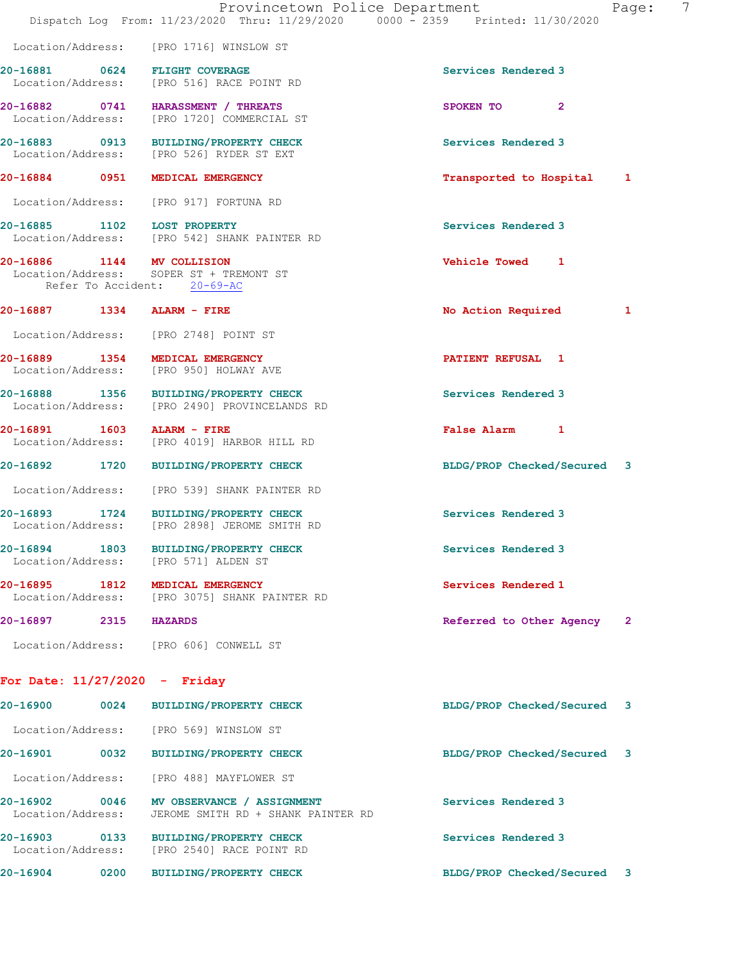|                                    | Provincetown Police Department<br>Dispatch Log From: 11/23/2020 Thru: 11/29/2020 0000 - 2359 Printed: 11/30/2020 |                             | 7<br>Page:   |
|------------------------------------|------------------------------------------------------------------------------------------------------------------|-----------------------------|--------------|
|                                    | Location/Address: [PRO 1716] WINSLOW ST                                                                          |                             |              |
|                                    | 20-16881 0624 FLIGHT COVERAGE<br>Location/Address: [PRO 516] RACE POINT RD                                       | Services Rendered 3         |              |
|                                    | 20-16882 0741 HARASSMENT / THREATS<br>Location/Address: [PRO 1720] COMMERCIAL ST                                 | SPOKEN TO<br>$\mathbf{2}$   |              |
|                                    | 20-16883 0913 BUILDING/PROPERTY CHECK<br>Location/Address: [PRO 526] RYDER ST EXT                                | Services Rendered 3         |              |
|                                    | 20-16884 0951 MEDICAL EMERGENCY                                                                                  | Transported to Hospital 1   |              |
|                                    | Location/Address: [PRO 917] FORTUNA RD                                                                           |                             |              |
| 20-16885 1102 LOST PROPERTY        | Location/Address: [PRO 542] SHANK PAINTER RD                                                                     | Services Rendered 3         |              |
| 20-16886 1144 MV COLLISION         | Location/Address: SOPER ST + TREMONT ST<br>Refer To Accident: 20-69-AC                                           | Vehicle Towed 1             |              |
| 20-16887 1334 ALARM - FIRE         |                                                                                                                  | No Action Required          | 1            |
|                                    | Location/Address: [PRO 2748] POINT ST                                                                            |                             |              |
|                                    | 20-16889 1354 MEDICAL EMERGENCY<br>Location/Address: [PRO 950] HOLWAY AVE                                        | PATIENT REFUSAL 1           |              |
|                                    | 20-16888 1356 BUILDING/PROPERTY CHECK<br>Location/Address: [PRO 2490] PROVINCELANDS RD                           | Services Rendered 3         |              |
| 20-16891 1603 ALARM - FIRE         | Location/Address: [PRO 4019] HARBOR HILL RD                                                                      | False Alarm 1               |              |
|                                    | 20-16892 1720 BUILDING/PROPERTY CHECK                                                                            | BLDG/PROP Checked/Secured 3 |              |
|                                    | Location/Address: [PRO 539] SHANK PAINTER RD                                                                     |                             |              |
|                                    | 20-16893 1724 BUILDING/PROPERTY CHECK<br>Location/Address: [PRO 2898] JEROME SMITH RD                            | Services Rendered 3         |              |
| 20-16894 1803<br>Location/Address: | BUILDING/PROPERTY CHECK<br>[PRO 571] ALDEN ST                                                                    | Services Rendered 3         |              |
| 20-16895 1812                      | MEDICAL EMERGENCY<br>Location/Address: [PRO 3075] SHANK PAINTER RD                                               | Services Rendered 1         |              |
| 20-16897<br>2315                   | <b>HAZARDS</b>                                                                                                   | Referred to Other Agency    | $\mathbf{2}$ |
|                                    | Location/Address: [PRO 606] CONWELL ST                                                                           |                             |              |
| For Date: $11/27/2020 -$ Friday    |                                                                                                                  |                             |              |
| 20-16900                           | 0024 BUILDING/PROPERTY CHECK                                                                                     | BLDG/PROP Checked/Secured 3 |              |
|                                    | Location/Address: [PRO 569] WINSLOW ST                                                                           |                             |              |
|                                    | 20-16901 0032 BUILDING/PROPERTY CHECK                                                                            | BLDG/PROP Checked/Secured 3 |              |
| Location/Address:                  | [PRO 488] MAYFLOWER ST                                                                                           |                             |              |
| 20-16902 0046<br>Location/Address: | MV OBSERVANCE / ASSIGNMENT<br>JEROME SMITH RD + SHANK PAINTER RD                                                 | Services Rendered 3         |              |
|                                    | 20-16903 0133 BUILDING/PROPERTY CHECK<br>Location/Address: [PRO 2540] RACE POINT RD                              | Services Rendered 3         |              |

20-16904 0200 BUILDING/PROPERTY CHECK BLDG/PROP Checked/Secured 3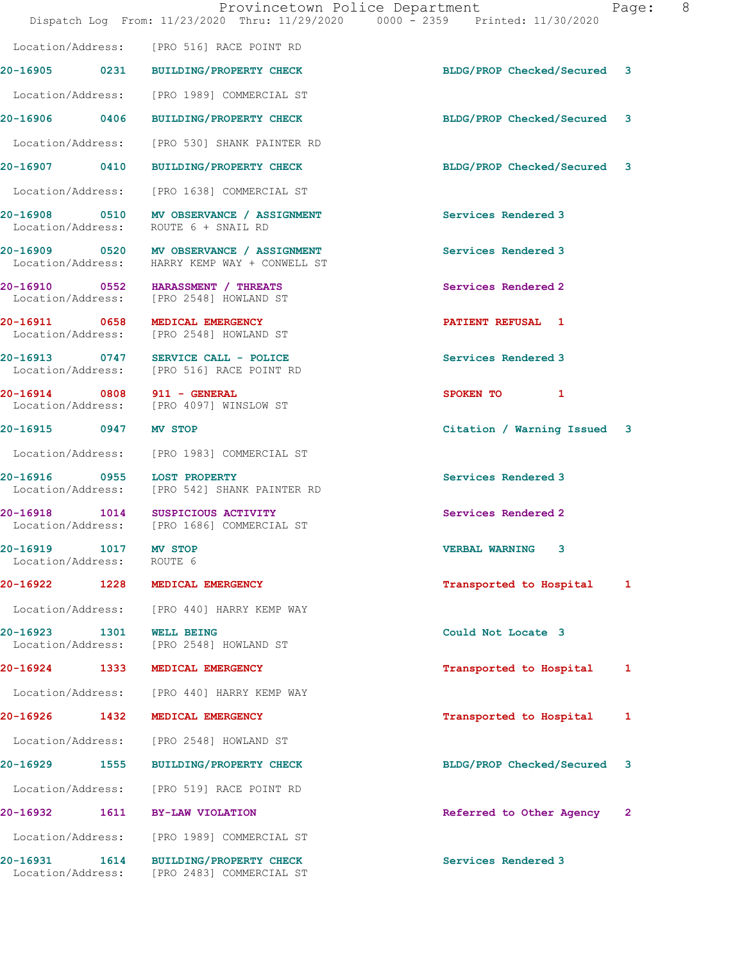|                                            |      | Dispatch Log From: 11/23/2020 Thru: 11/29/2020 0000 - 2359 Printed: 11/30/2020            | Provincetown Police Department | Page:          | 8 <sup>8</sup> |
|--------------------------------------------|------|-------------------------------------------------------------------------------------------|--------------------------------|----------------|----------------|
|                                            |      | Location/Address: [PRO 516] RACE POINT RD                                                 |                                |                |                |
|                                            |      | 20-16905 0231 BUILDING/PROPERTY CHECK                                                     | BLDG/PROP Checked/Secured 3    |                |                |
|                                            |      | Location/Address: [PRO 1989] COMMERCIAL ST                                                |                                |                |                |
|                                            |      | 20-16906 0406 BUILDING/PROPERTY CHECK                                                     | BLDG/PROP Checked/Secured 3    |                |                |
|                                            |      | Location/Address: [PRO 530] SHANK PAINTER RD                                              |                                |                |                |
|                                            |      | 20-16907 0410 BUILDING/PROPERTY CHECK                                                     | BLDG/PROP Checked/Secured 3    |                |                |
|                                            |      | Location/Address: [PRO 1638] COMMERCIAL ST                                                |                                |                |                |
|                                            |      | 20-16908 0510 MV OBSERVANCE / ASSIGNMENT<br>Location/Address: ROUTE 6 + SNAIL RD          | Services Rendered 3            |                |                |
|                                            |      | 20-16909 0520 MV OBSERVANCE / ASSIGNMENT<br>Location/Address: HARRY KEMP WAY + CONWELL ST | Services Rendered 3            |                |                |
|                                            |      | 20-16910 0552 HARASSMENT / THREATS<br>Location/Address: [PRO 2548] HOWLAND ST             | Services Rendered 2            |                |                |
|                                            |      | 20-16911 0658 MEDICAL EMERGENCY<br>Location/Address: [PRO 2548] HOWLAND ST                | <b>PATIENT REFUSAL 1</b>       |                |                |
|                                            |      | 20-16913 0747 SERVICE CALL - POLICE<br>Location/Address: [PRO 516] RACE POINT RD          | Services Rendered 3            |                |                |
|                                            |      | 20-16914 0808 911 - GENERAL<br>Location/Address: [PRO 4097] WINSLOW ST                    | SPOKEN TO 1                    |                |                |
| 20-16915 0947 MV STOP                      |      |                                                                                           | Citation / Warning Issued 3    |                |                |
|                                            |      | Location/Address: [PRO 1983] COMMERCIAL ST                                                |                                |                |                |
|                                            |      | 20-16916 0955 LOST PROPERTY<br>Location/Address: [PRO 542] SHANK PAINTER RD               | Services Rendered 3            |                |                |
|                                            |      | 20-16918 1014 SUSPICIOUS ACTIVITY<br>Location/Address: [PRO 1686] COMMERCIAL ST           | Services Rendered 2            |                |                |
| 20-16919 1017 MV STOP<br>Location/Address: |      | ROUTE 6                                                                                   | <b>VERBAL WARNING 3</b>        |                |                |
| 20-16922 1228                              |      | MEDICAL EMERGENCY                                                                         | Transported to Hospital        | 1              |                |
|                                            |      | Location/Address: [PRO 440] HARRY KEMP WAY                                                |                                |                |                |
| 20-16923<br>Location/Address:              | 1301 | <b>WELL BEING</b><br>[PRO 2548] HOWLAND ST                                                | Could Not Locate 3             |                |                |
| 20-16924 1333                              |      | MEDICAL EMERGENCY                                                                         | Transported to Hospital        | 1              |                |
|                                            |      | Location/Address: [PRO 440] HARRY KEMP WAY                                                |                                |                |                |
| 20-16926 1432                              |      | MEDICAL EMERGENCY                                                                         | Transported to Hospital        | 1              |                |
| Location/Address:                          |      | [PRO 2548] HOWLAND ST                                                                     |                                |                |                |
| 20-16929 1555                              |      | BUILDING/PROPERTY CHECK                                                                   | BLDG/PROP Checked/Secured      | 3              |                |
| Location/Address:                          |      | [PRO 519] RACE POINT RD                                                                   |                                |                |                |
| 20-16932                                   | 1611 | <b>BY-LAW VIOLATION</b>                                                                   | Referred to Other Agency       | $\overline{2}$ |                |
| Location/Address:                          |      | [PRO 1989] COMMERCIAL ST                                                                  |                                |                |                |
| 20-16931                                   | 1614 | <b>BUILDING/PROPERTY CHECK</b><br>Location/Address: [PRO 2483] COMMERCIAL ST              | Services Rendered 3            |                |                |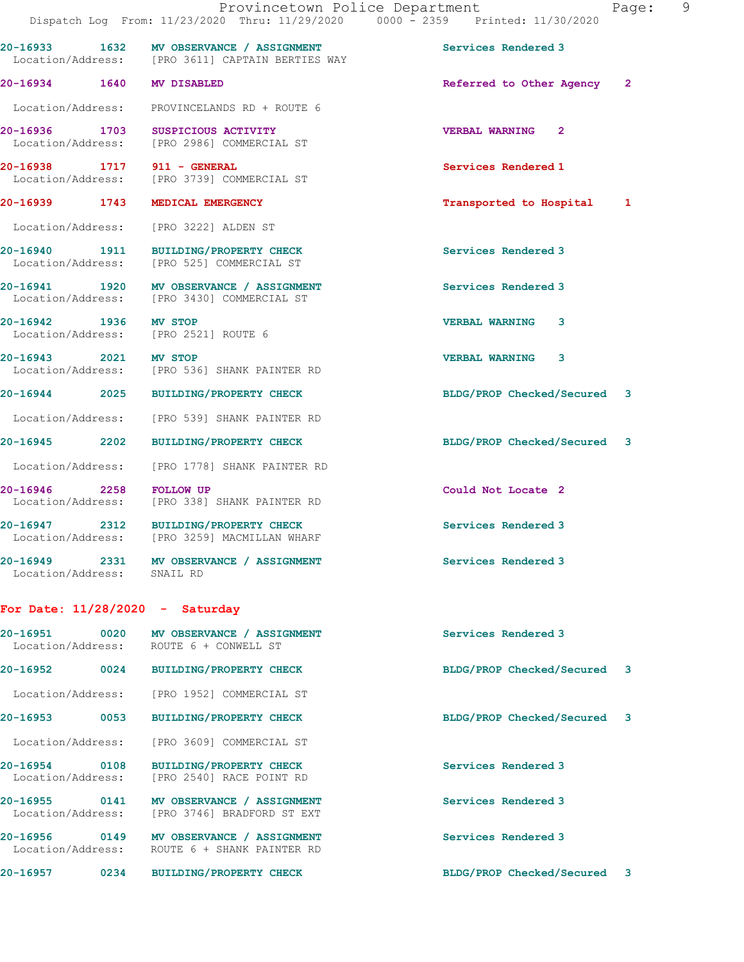|                                   |                                                                                              | Provincetown Police Department<br>Dispatch Log From: 11/23/2020 Thru: 11/29/2020 0000 - 2359 Printed: 11/30/2020 | Page: 9 |
|-----------------------------------|----------------------------------------------------------------------------------------------|------------------------------------------------------------------------------------------------------------------|---------|
|                                   | 20-16933 1632 MV OBSERVANCE / ASSIGNMENT<br>Location/Address: [PRO 3611] CAPTAIN BERTIES WAY | Services Rendered 3                                                                                              |         |
| 20-16934 1640 MV DISABLED         |                                                                                              | Referred to Other Agency 2                                                                                       |         |
|                                   | Location/Address: PROVINCELANDS RD + ROUTE 6                                                 |                                                                                                                  |         |
|                                   | 20-16936 1703 SUSPICIOUS ACTIVITY<br>Location/Address: [PRO 2986] COMMERCIAL ST              | <b>VERBAL WARNING 2</b>                                                                                          |         |
|                                   | 20-16938 1717 911 - GENERAL<br>Location/Address: [PRO 3739] COMMERCIAL ST                    | Services Rendered 1                                                                                              |         |
|                                   | 20-16939 1743 MEDICAL EMERGENCY                                                              | Transported to Hospital 1                                                                                        |         |
|                                   | Location/Address: [PRO 3222] ALDEN ST                                                        |                                                                                                                  |         |
|                                   | 20-16940 1911 BUILDING/PROPERTY CHECK<br>Location/Address: [PRO 525] COMMERCIAL ST           | Services Rendered 3                                                                                              |         |
|                                   | 20-16941 1920 MV OBSERVANCE / ASSIGNMENT<br>Location/Address: [PRO 3430] COMMERCIAL ST       | Services Rendered 3                                                                                              |         |
| 20-16942 1936 MV STOP             | Location/Address: [PRO 2521] ROUTE 6                                                         | <b>VERBAL WARNING 3</b>                                                                                          |         |
|                                   | 20-16943 2021 MV STOP<br>Location/Address: [PRO 536] SHANK PAINTER RD                        | <b>VERBAL WARNING 3</b>                                                                                          |         |
|                                   | 20-16944 2025 BUILDING/PROPERTY CHECK                                                        | BLDG/PROP Checked/Secured 3                                                                                      |         |
|                                   | Location/Address: [PRO 539] SHANK PAINTER RD                                                 |                                                                                                                  |         |
|                                   | 20-16945 2202 BUILDING/PROPERTY CHECK                                                        | BLDG/PROP Checked/Secured 3                                                                                      |         |
|                                   | Location/Address: [PRO 1778] SHANK PAINTER RD                                                |                                                                                                                  |         |
| 20-16946 2258 FOLLOW UP           | Location/Address: [PRO 338] SHANK PAINTER RD                                                 | Could Not Locate 2                                                                                               |         |
|                                   | 20-16947 2312 BUILDING/PROPERTY CHECK<br>Location/Address: [PRO 3259] MACMILLAN WHARF        | Services Rendered 3                                                                                              |         |
| Location/Address: SNAIL RD        | 20-16949 2331 MV OBSERVANCE / ASSIGNMENT                                                     | Services Rendered 3                                                                                              |         |
| For Date: $11/28/2020 -$ Saturday |                                                                                              |                                                                                                                  |         |

| 20-16951<br>0020<br>Location/Address: |      | MV OBSERVANCE / ASSIGNMENT<br>ROUTE 6 + CONWELL ST         | Services Rendered 3         |  |
|---------------------------------------|------|------------------------------------------------------------|-----------------------------|--|
| $20 - 16952$                          | 0024 | <b>BUILDING/PROPERTY CHECK</b>                             | BLDG/PROP Checked/Secured 3 |  |
| Location/Address:                     |      | [PRO 1952] COMMERCIAL ST                                   |                             |  |
| 20-16953                              | 0053 | <b>BUILDING/PROPERTY CHECK</b>                             | BLDG/PROP Checked/Secured 3 |  |
| Location/Address:                     |      | [PRO 3609] COMMERCIAL ST                                   |                             |  |
| $20 - 16954$<br>Location/Address:     | 0108 | <b>BUILDING/PROPERTY CHECK</b><br>[PRO 2540] RACE POINT RD | Services Rendered 3         |  |
| 20-16955<br>Location/Address:         | 0141 | MV OBSERVANCE / ASSIGNMENT<br>[PRO 3746] BRADFORD ST EXT   | Services Rendered 3         |  |
| 20-16956<br>Location/Address:         | 0149 | MV OBSERVANCE / ASSIGNMENT<br>ROUTE 6 + SHANK PAINTER RD   | Services Rendered 3         |  |
| 20-16957                              | 0234 | <b>BUILDING/PROPERTY CHECK</b>                             | BLDG/PROP Checked/Secured 3 |  |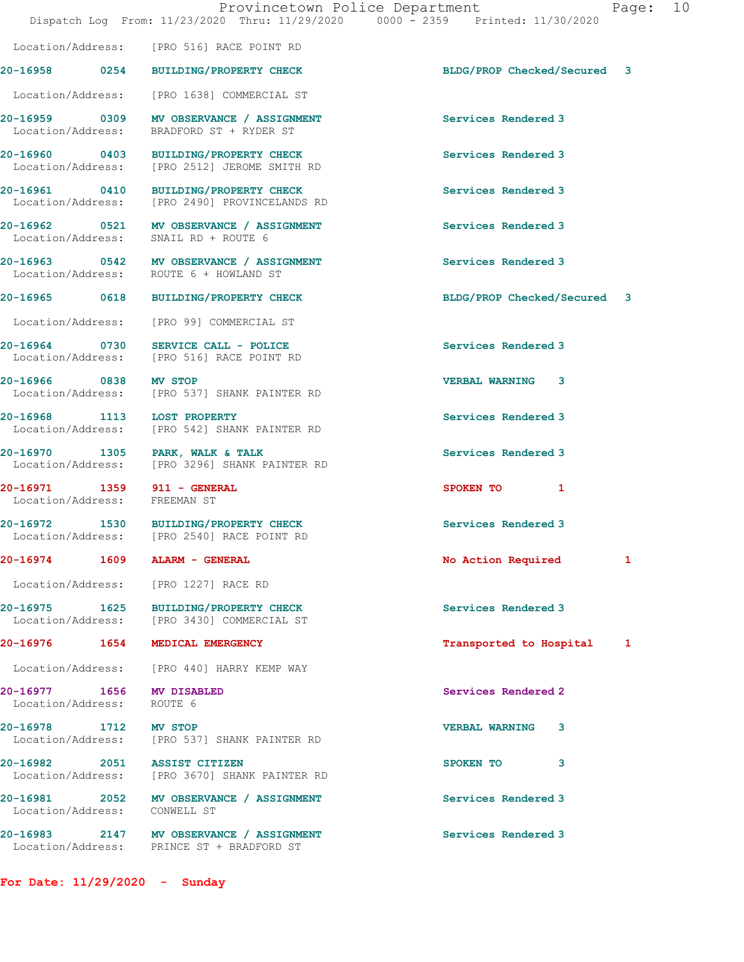Location/Address: [PRO 516] RACE POINT RD

Location/Address: [PRO 1638] COMMERCIAL ST

Location/Address: BRADFORD ST + RYDER ST

Location/Address: SNAIL RD + ROUTE 6

20-16971 1359 911 - GENERAL 120-16971 5 SPOKEN TO 1<br>
Location/Address: FREEMAN ST Location/Address:

20-16977 1656 MV DISABLED Services Rendered 2 Location/Address:

Location/Address: CONWELL ST

For Date: 11/29/2020 - Sunday

20-16959 0309 MV OBSERVANCE / ASSIGNMENT Services Rendered 3

20-16960 0403 BUILDING/PROPERTY CHECK Services Rendered 3<br>
Location/Address: [PRO 2512] JEROME SMITH RD [PRO 2512] JEROME SMITH RD

20-16961 0410 BUILDING/PROPERTY CHECK Services Rendered 3 Location/Address: [PRO 2490] PROVINCELANDS RD

20-16962 0521 MV OBSERVANCE / ASSIGNMENT Services Rendered 3

20-16963 0542 MV OBSERVANCE / ASSIGNMENT Services Rendered 3 ROUTE 6 + HOWLAND ST

Location/Address: [PRO 99] COMMERCIAL ST

20-16964 0730 SERVICE CALL - POLICE (2001) Services Rendered 3<br>
Location/Address: [PRO 516] RACE POINT RD [PRO 516] RACE POINT RD

20-16966 0838 MV STOP VERBAL WARNING 3 Location/Address: [PRO 537] SHANK PAINTER RD

20-16968 1113 LOST PROPERTY **1200 Services Rendered** 3 Location/Address: [PRO 542] SHANK PAINTER RD

20-16970 1305 PARK, WALK & TALK Services Rendered 3 Location/Address: [PRO 3296] SHANK PAINTER RD

20-16972 1530 BUILDING/PROPERTY CHECK Services Rendered 3 Location/Address: [PRO 2540] RACE POINT RD

Location/Address: [PRO 1227] RACE RD

20-16975 1625 BUILDING/PROPERTY CHECK Services Rendered 3<br>
Location/Address: [PRO 3430] COMMERCIAL ST [PRO 3430] COMMERCIAL ST

Location/Address: [PRO 440] HARRY KEMP WAY

20-16978 1712 MV STOP VERBAL WARNING 3 Location/Address: [PRO 537] SHANK PAINTER RD

20-16982 2051 ASSIST CITIZEN 2001 2002 2005 2006 2010 3 Location/Address: [PRO 3670] SHANK PAINTER RD

20-16981 2052 MV OBSERVANCE / ASSIGNMENT Services Rendered 3

20-16983 2147 MV OBSERVANCE / ASSIGNMENT Services Rendered 3 Location/Address: PRINCE ST + BRADFORD ST

20-16958 0254 BUILDING/PROPERTY CHECK BLDG/PROP Checked/Secured 3

20-16965 0618 BUILDING/PROPERTY CHECK BLDG/PROP Checked/Secured 3

20-16974 1609 ALARM - GENERAL 1988 1989 No Action Required 1

20-16976 1654 MEDICAL EMERGENCY Transported to Hospital 1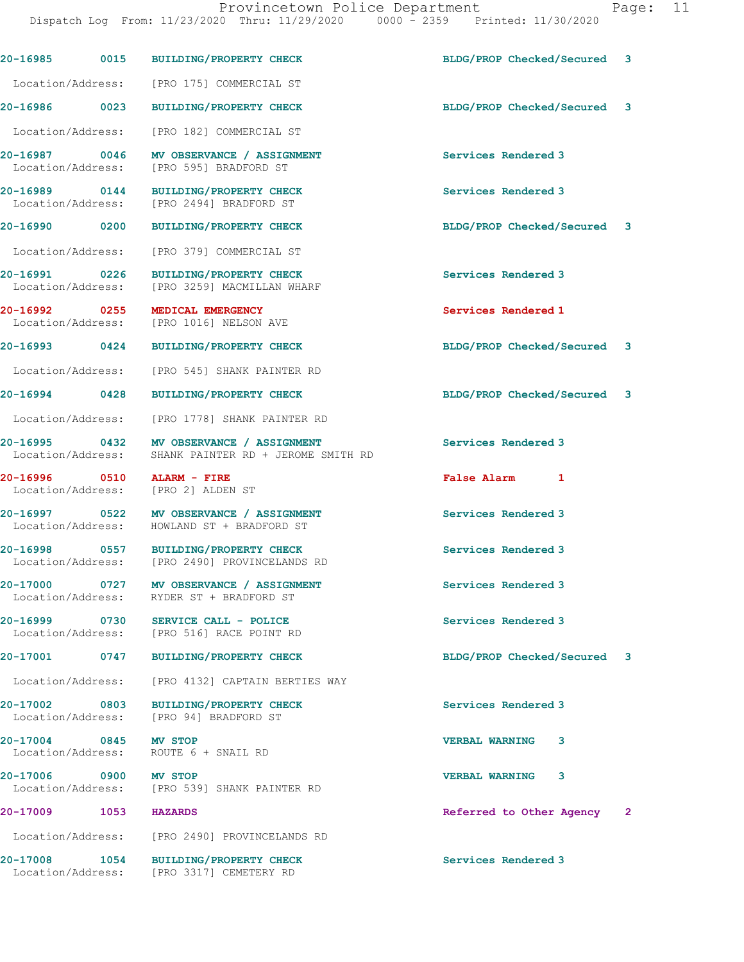| 20-16985                           | 0015 | <b>BUILDING/PROPERTY CHECK</b>                                                   | BLDG/PROP Checked/Secured   | 3              |
|------------------------------------|------|----------------------------------------------------------------------------------|-----------------------------|----------------|
| Location/Address:                  |      | [PRO 175] COMMERCIAL ST                                                          |                             |                |
| 20-16986 0023                      |      | <b>BUILDING/PROPERTY CHECK</b>                                                   | BLDG/PROP Checked/Secured   | 3              |
| Location/Address:                  |      | [PRO 182] COMMERCIAL ST                                                          |                             |                |
| 20-16987 0046<br>Location/Address: |      | MV OBSERVANCE / ASSIGNMENT<br>[PRO 595] BRADFORD ST                              | Services Rendered 3         |                |
| 20-16989 0144<br>Location/Address: |      | <b>BUILDING/PROPERTY CHECK</b><br>[PRO 2494] BRADFORD ST                         | Services Rendered 3         |                |
| 20-16990 0200                      |      | <b>BUILDING/PROPERTY CHECK</b>                                                   | BLDG/PROP Checked/Secured 3 |                |
| Location/Address:                  |      | [PRO 379] COMMERCIAL ST                                                          |                             |                |
| 20-16991 0226<br>Location/Address: |      | <b>BUILDING/PROPERTY CHECK</b><br>[PRO 3259] MACMILLAN WHARF                     | Services Rendered 3         |                |
| 20-16992 0255                      |      | MEDICAL EMERGENCY<br>Location/Address: [PRO 1016] NELSON AVE                     | Services Rendered 1         |                |
| 20-16993 0424                      |      | <b>BUILDING/PROPERTY CHECK</b>                                                   | BLDG/PROP Checked/Secured   | 3              |
| Location/Address:                  |      | [PRO 545] SHANK PAINTER RD                                                       |                             |                |
| 20-16994                           | 0428 | <b>BUILDING/PROPERTY CHECK</b>                                                   | BLDG/PROP Checked/Secured 3 |                |
| Location/Address:                  |      | [PRO 1778] SHANK PAINTER RD                                                      |                             |                |
| 20-16995 0432<br>Location/Address: |      | MV OBSERVANCE / ASSIGNMENT<br>SHANK PAINTER RD + JEROME SMITH RD                 | Services Rendered 3         |                |
| 20-16996 0510                      |      | ALARM - FIRE<br>Location/Address: [PRO 2] ALDEN ST                               | False Alarm 1               |                |
| 20-16997 0522                      |      | MV OBSERVANCE / ASSIGNMENT<br>Location/Address: HOWLAND ST + BRADFORD ST         | Services Rendered 3         |                |
| Location/Address:                  |      | 20-16998 0557 BUILDING/PROPERTY CHECK<br>[PRO 2490] PROVINCELANDS RD             | Services Rendered 3         |                |
| 20-17000 0727<br>Location/Address: |      | MV OBSERVANCE / ASSIGNMENT<br>RYDER ST + BRADFORD ST                             | Services Rendered 3         |                |
|                                    |      | 20-16999 0730 SERVICE CALL - POLICE<br>Location/Address: [PRO 516] RACE POINT RD | Services Rendered 3         |                |
|                                    |      | 20-17001 0747 BUILDING/PROPERTY CHECK                                            | BLDG/PROP Checked/Secured 3 |                |
|                                    |      | Location/Address: [PRO 4132] CAPTAIN BERTIES WAY                                 |                             |                |
|                                    |      | 20-17002 0803 BUILDING/PROPERTY CHECK<br>Location/Address: [PRO 94] BRADFORD ST  | Services Rendered 3         |                |
| 20-17004 0845 MV STOP              |      | Location/Address: ROUTE 6 + SNAIL RD                                             | <b>VERBAL WARNING</b><br>3. |                |
| 20-17006 0900 MV STOP              |      | Location/Address: [PRO 539] SHANK PAINTER RD                                     | <b>VERBAL WARNING</b><br>3  |                |
| 20-17009 1053 HAZARDS              |      |                                                                                  | Referred to Other Agency    | $\overline{2}$ |
|                                    |      | Location/Address: [PRO 2490] PROVINCELANDS RD                                    |                             |                |
| 20-17008                           | 1054 | <b>BUILDING/PROPERTY CHECK</b>                                                   | Services Rendered 3         |                |

Location/Address: [PRO 3317] CEMETERY RD